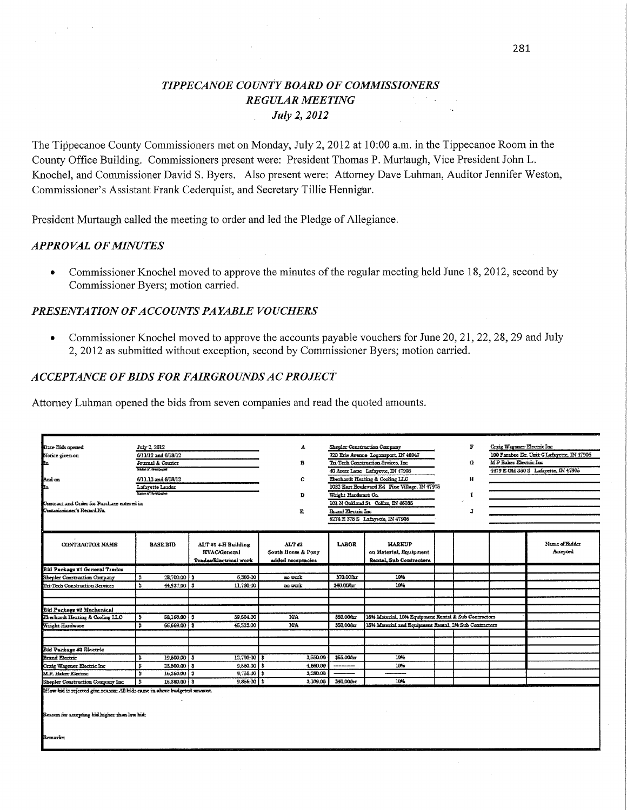# TIPPECANOE COUNTY BOARD OF COMMISSIONERS **REGULAR MEETING** July 2, 2012

The Tippecanoe County Commissioners met on Monday, July 2, 2012 at 10:00 a.m. in the Tippecanoe Room in the County Office Building. Commissioners present were: President Thomas P. Murtaugh, Vice President John L. Knochel, and Commissioner David S. Byers. Also present were: Attorney Dave Luhman, Auditor Jennifer Weston, Commissioner's Assistant Frank Cederquist, and Secretary Tillie Hennigar.

President Murtaugh called the meeting to order and led the Pledge of Allegiance.

#### **APPROVAL OF MINUTES**

Commissioner Knochel moved to approve the minutes of the regular meeting held June 18, 2012, second by  $\bullet$ Commissioner Byers; motion carried.

#### PRESENTATION OF ACCOUNTS PAYABLE VOUCHERS

Commissioner Knochel moved to approve the accounts payable vouchers for June 20, 21, 22, 28, 29 and July 2, 2012 as submitted without exception, second by Commissioner Byers; motion carried.

#### ACCEPTANCE OF BIDS FOR FAIRGROUNDS AC PROJECT

Attorney Luhman opened the bids from seven companies and read the quoted amounts.

| ALT #1 4-H Building<br><b>HVACAlemeral</b><br>Tradas/Electrical work | н<br>e<br>D<br>E<br>ALT#2<br>South Horse & Pony<br>added receptacies                                                                                               | Wright Hardware Co.<br><b>Brand Klectric Inc.</b><br>LABOR                                                          | 720 Erie Avenue Logansport, IN 46947<br>Tri Tech Construction Sivices, Inc.<br>40 Aren Lane Lafayette, IN 47906<br>Eberhardt Heating & Cooling LLC<br>1032 East Boulevard Rd Pine Village, IN 47975<br>101 N Oxkland St Colfax, IN 46036<br>6274 K 375 S Lafayette, IN 47906<br><b>MARKUP</b> |                   | G<br>И<br>I<br>л | <b>MP Baker Electric Inc.</b> | 100 Farabee Dr, Unit C Lafayette, IN 47906<br>4479 E 01d 350 S Lafayette, IN 47906                             |
|----------------------------------------------------------------------|--------------------------------------------------------------------------------------------------------------------------------------------------------------------|---------------------------------------------------------------------------------------------------------------------|-----------------------------------------------------------------------------------------------------------------------------------------------------------------------------------------------------------------------------------------------------------------------------------------------|-------------------|------------------|-------------------------------|----------------------------------------------------------------------------------------------------------------|
|                                                                      |                                                                                                                                                                    |                                                                                                                     |                                                                                                                                                                                                                                                                                               |                   |                  |                               |                                                                                                                |
|                                                                      |                                                                                                                                                                    |                                                                                                                     |                                                                                                                                                                                                                                                                                               |                   |                  |                               |                                                                                                                |
|                                                                      |                                                                                                                                                                    |                                                                                                                     |                                                                                                                                                                                                                                                                                               |                   |                  |                               |                                                                                                                |
|                                                                      |                                                                                                                                                                    |                                                                                                                     |                                                                                                                                                                                                                                                                                               |                   |                  |                               |                                                                                                                |
|                                                                      |                                                                                                                                                                    |                                                                                                                     |                                                                                                                                                                                                                                                                                               |                   |                  |                               |                                                                                                                |
|                                                                      |                                                                                                                                                                    |                                                                                                                     |                                                                                                                                                                                                                                                                                               |                   |                  |                               |                                                                                                                |
|                                                                      |                                                                                                                                                                    |                                                                                                                     |                                                                                                                                                                                                                                                                                               |                   |                  |                               |                                                                                                                |
|                                                                      |                                                                                                                                                                    |                                                                                                                     |                                                                                                                                                                                                                                                                                               |                   |                  |                               |                                                                                                                |
|                                                                      |                                                                                                                                                                    |                                                                                                                     |                                                                                                                                                                                                                                                                                               |                   |                  |                               |                                                                                                                |
|                                                                      |                                                                                                                                                                    |                                                                                                                     |                                                                                                                                                                                                                                                                                               |                   |                  |                               |                                                                                                                |
|                                                                      |                                                                                                                                                                    |                                                                                                                     |                                                                                                                                                                                                                                                                                               |                   |                  |                               | Name of Bidder                                                                                                 |
|                                                                      |                                                                                                                                                                    |                                                                                                                     | on Material, Equipment<br>Rantal, Sub Contractors                                                                                                                                                                                                                                             |                   |                  |                               | Accepted                                                                                                       |
|                                                                      |                                                                                                                                                                    |                                                                                                                     |                                                                                                                                                                                                                                                                                               |                   |                  |                               |                                                                                                                |
|                                                                      |                                                                                                                                                                    |                                                                                                                     |                                                                                                                                                                                                                                                                                               |                   |                  |                               |                                                                                                                |
| 28,700.00 3<br>6,360.00                                              | no work.                                                                                                                                                           | M0.000r                                                                                                             | 10%                                                                                                                                                                                                                                                                                           |                   |                  |                               |                                                                                                                |
| 44.937.00 3<br>11,780.00                                             | no week                                                                                                                                                            | 340.00 hr                                                                                                           | 10%                                                                                                                                                                                                                                                                                           |                   |                  |                               |                                                                                                                |
|                                                                      |                                                                                                                                                                    |                                                                                                                     |                                                                                                                                                                                                                                                                                               |                   |                  |                               |                                                                                                                |
|                                                                      |                                                                                                                                                                    |                                                                                                                     |                                                                                                                                                                                                                                                                                               |                   |                  |                               |                                                                                                                |
|                                                                      |                                                                                                                                                                    |                                                                                                                     |                                                                                                                                                                                                                                                                                               |                   |                  |                               |                                                                                                                |
| 39.804.00                                                            | NA.                                                                                                                                                                | 350.00hr                                                                                                            |                                                                                                                                                                                                                                                                                               |                   |                  |                               |                                                                                                                |
| 45.323.00                                                            | NA.                                                                                                                                                                | 350.00 hr                                                                                                           |                                                                                                                                                                                                                                                                                               |                   |                  |                               |                                                                                                                |
|                                                                      |                                                                                                                                                                    |                                                                                                                     |                                                                                                                                                                                                                                                                                               |                   |                  |                               |                                                                                                                |
|                                                                      |                                                                                                                                                                    |                                                                                                                     |                                                                                                                                                                                                                                                                                               |                   |                  |                               |                                                                                                                |
|                                                                      |                                                                                                                                                                    |                                                                                                                     |                                                                                                                                                                                                                                                                                               |                   |                  |                               |                                                                                                                |
|                                                                      |                                                                                                                                                                    | --------                                                                                                            |                                                                                                                                                                                                                                                                                               |                   |                  |                               |                                                                                                                |
|                                                                      |                                                                                                                                                                    |                                                                                                                     | ------                                                                                                                                                                                                                                                                                        |                   |                  |                               |                                                                                                                |
|                                                                      |                                                                                                                                                                    |                                                                                                                     |                                                                                                                                                                                                                                                                                               |                   |                  |                               |                                                                                                                |
|                                                                      | 58,150.00 3<br>66,669.00 3<br>19,500.00<br>25.500.00 3<br>16,350.00 3<br>15.380.00 3<br>If low bid is rejected give reason: AB bids came in above budgeted amount. | 12,700.00   3<br>3,550.00<br>$9,550.00$ \$<br>4.550.00<br>$9,755.00$   \$<br>3.280.00<br>$9,866.00$ \ 3<br>3.109.00 | 355.00/br<br>\$40.000cc                                                                                                                                                                                                                                                                       | 10%<br>10%<br>10% |                  |                               | 1546 Material, 10% Equipment Rental & Sub Contractors<br>15% Material and Equipment Rental, 2% Sub Contractors |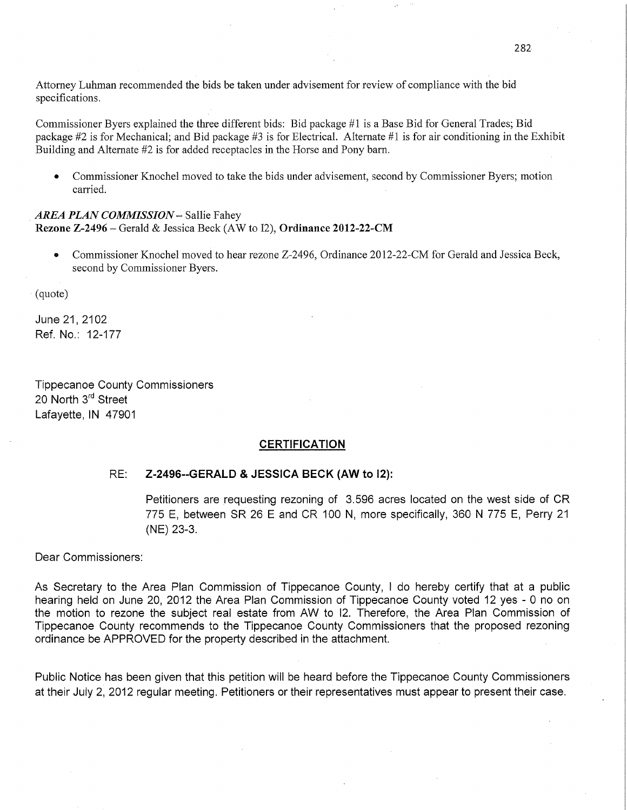Attorney Luhman recommended the bids be taken under advisement for review of compliance with the bid specifications.

Commissioner Byers explained the three different bids: Bid package #1 is a Base Bid for General Trades; Bid package #2 is for Mechanical; and Bid package #3 is for Electrical. Alternate #1 is for air conditioning in the Exhibit Building and Alternate #2 is for added receptacles in the Horse and Pony barn.

**0** Commissioner Knochel moved to take the bids under advisement, second by Commissioner Byers; motion carried. The contract of the contract of the contract of the contract of the contract of the contract of the contract of the contract of the contract of the contract of the contract of the contract of the contract of the c

# AREA PLAN COMMISSION - Sallie Fahey **Rezone Z-2496** *—* Gerald & Jessica Beck (AW to 12), Ordinance **2012-22-CM**

**0** Commissioner Knochel moved to hear rezone Z-2496, Ordinance 2012-22-CM for Gerald and Jessica Beck, second by Commissioner Byers.

- (quoté)

June 21, 2102 Ref. No.: 12-177

Tippecanoe County **Commissioners**  20 North 3rd Street Lafayette, IN 47901

### **CERTIFICATION**

## RE: Z-2496--GERALD **&** JESSICA BECK (AW to **l2):**

Petitioners are requesting rezoning of 3.596 acres located on the west side of CR 775 E, between SR 26 E and CR 100 N, more specifically, 360 N 775 E, Perry 21 (NE) *23-3.* 

Dear **Commissioners:** 

As Secretary to the Area Plan **Commission** of Tippecanoe County, I do hereby certify that at a public hearing held on June 20, 2012 the Area Plan **Commission** of Tippecanoe County voted 12 yes *-* 0 no on the motion to rezone the **subject** real estate from AW to |2. Therefore, the Area Plan Commission of Tippecanoe County recommends to the Tippecanoe County Commissioners **that** the proposed rezoning ordinance be APPROVED for the property described in the attachment.

Public Notice'has been given **that this** petition will be heard before the Tippecanoe County **Commissioners**  at their July 2, 2012 regular meeting. **Petitioners** or their representatives **must** appear to **present** their case.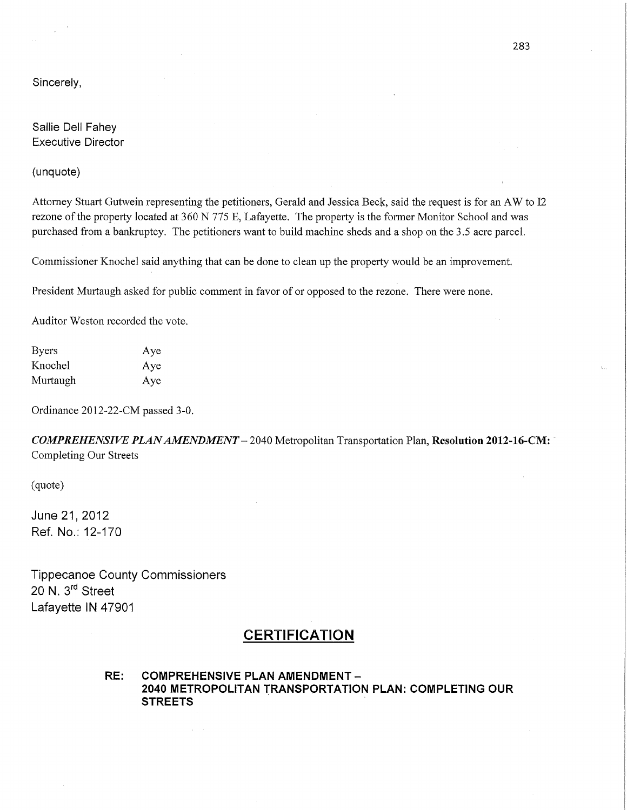Sincerely,

Sallie Dell Fahey Executive Director

(unquote)

Attorney Stuart Gutwein representing the petitioners, Gerald and Jessica Beck, said the request is for an AW to 12 rezone of the property located at 360 N 775 E, Lafayette. The property is the former Monitor School and was purchased from a bankruptcy. The petitioners want to build machine sheds and a shop on the 3 .5 acre parcel.

Commissioner Knochel said anything that can be done to clean up the property would be an improvement.

President Murtaugh asked for public comment in favor of or opposed to the rezone. There were none.

Auditor Weston recorded the vote.

Byers Aye Knochel Aye Murtaugh Aye

Ordinance 2012-22-CM passed 3-0.

*COMPREHENSIVE PLAN AMENDMENT —* 2040 Metropolitan Transportation Plan, **Resolution 2012-16-CM: "**  Completing Our Streets

(quote)

June 21, 2012 Ref. No.: 12-170

Tippecanoe County Commissioners 20 N. 3<sup>rd</sup> Street Lafayette IN 47901

# **CERTIFICATION**

RE: COMPREHENSIVE PLAN AMENDMENT *—* 2040 METROPOLITAN **TRANSPORTATION** PLAN: COMPLETING OUR STREETS *'*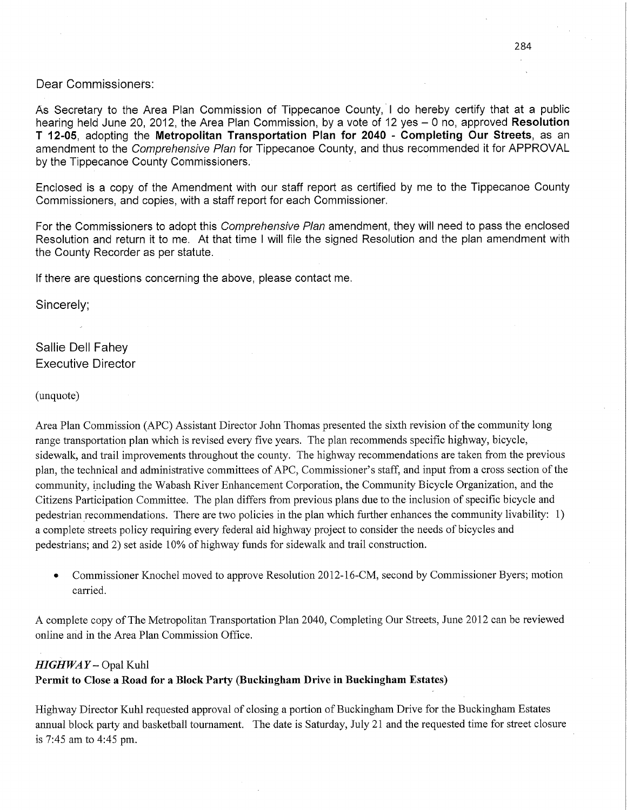# Dear Commissioners:

As Secretary to the Area Plan Commission of Tippecanoe County, I do hereby certify that at a public hearing held June 20, 2012, the Area Plan **Commission,** by a vote of 12 yes *—* 0 no, approved **Resolution**  <sup>T</sup>12- 05 adopting the **Metropolitan Transportation Plan** for 2040- **Completing** Our **Streets,** as an amendment to the *Comprehensive Plan* for Tippecanoe County, and thus recommended it for APPROVAL by the Tippecanoe County Commissioners.

Enclosed is a copy of the Amendment with our **staff** report as certified by me to the Tippecanoe County Commissioners, and copies, with a **staff** report for each Commissioner.

For the **Commissioners** to adopt **this** *Comprehensive Plan* amendment, they will need to pass the enclosed Resolution and return it to me. At that **time I** will **file** the signed Resolution and the plan amendment with the County Recorder as per statute.

If there are questions concerning the above, please contact me.

Sincerely;

# Sallie Dell Fahey Executive Director

#### (unquote)

Area Plan Commission (APC) Assistant Director John Thomas presented the sixth revision of the community long range transportation plan which is revised every five years. The plan recommends specific highway, bicycle, sidewalk, and trail improvements throughout the county. The highway recommendations are taken fiom the previous <sup>p</sup>lan, the technical and administrative committees of APC, Commissioner's staff, and input from a cross section of the community, including the Wabash River Enhancement Corporation, the Community Bicycle Organization, and the Citizens Participation Committee. The plan differs from previous plans due to the inclusion of specific bicycle and pedestrian recommendations. There are two policies in the plan which further enhances the community livability: 1) a complete streets policy requiring every federal aid highway project to consider the needs of bicycles and pedestrians; and 2) set aside 10% of highway funds for sidewalk and trail construction.

**0** Commissioner Knochel moved to approve Resolution 2012-16-CM, second by Commissioner Byers; motion carried.

<sup>A</sup>complete copy of The Metropolitan Transportation Plan 2040, Completing Our Streets, June 2012 can be reviewed online and in the Area Plan Commission Office.

## *HIGHWAY—* Opal Kuhl

# **Permit** to Close **a Road** for **a Block Party (Buckingham Drive** in **Buckingham Estates)**

Highway Director Kuhl requested approval of closing a portion of Buckingham Drive for the Buckingham Estates annual block party and basketball tournament. The date is Saturday, July 21 and the requested time for street closure is 7:45 am to 4:45 pm.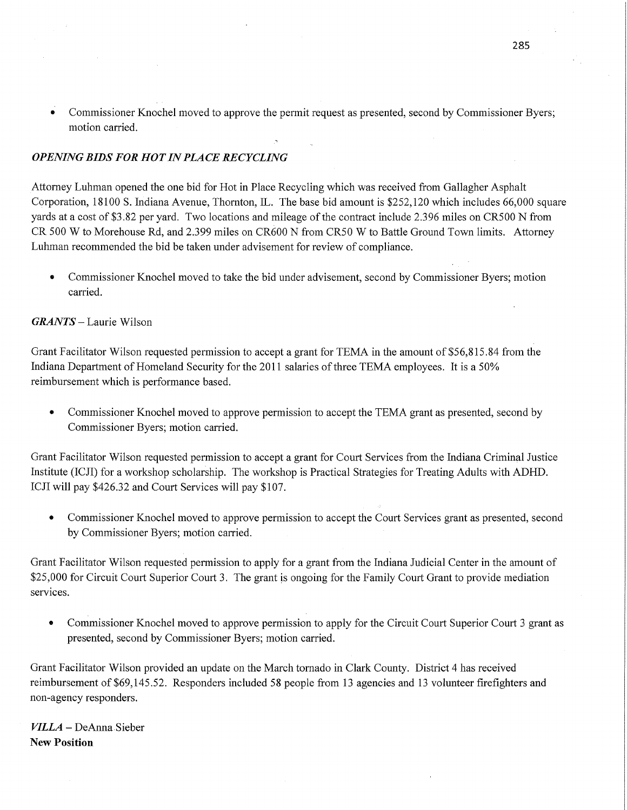Commissioner Knochel moved to approve the permit request as presented, second by Commissioner Byers; motion carried.

.,

# *OPENING BIDS* FOR HOT IN PLA CE *RECYCLING*

Attorney Luhman opened the one bid for Hot in Place Recycling which was received from Gallagher Asphalt Corporation, 18100 S. Indiana Avenue, Thornton, IL. The base bid amount is \$252,120 which includes 66,000 square yards at a cost of \$3.82 per yard. Two locations and mileage of the contract include *2.396* miles on CRSOO N from CR 500 **W** to Morehouse Rd, and 2.399 miles on CR600 N from CRSO *W* to Battle Ground Town limits. Attorney Luhman recommended the bid be taken under advisement for review of compliance.

**0** Commissioner Knochel moved to take the bid under advisement, second by Commissioner Byers; motion carried.

#### *GRANTS* **—** Laurie Wilson

Grant Facilitator Wilson requested permission to accept <sup>a</sup>grant for TEMA in the amount of \$56,815.84 from the Indiana Department of Homeland Security for the 2011 salaries of three TEMA employees. It is a 50% reimbursement which is performance based.

**0** Commissioner Knochel moved to approve permission to accept the TEMA grant as presented, second by Commissioner Byers; motion carried.

Grant Facilitator Wilson requested permission to accept <sup>a</sup>grant for Court Services from the Indiana Criminal Justice Institute (ICJI) for a workshop scholarship. The workshop is Practical Strategies for Treating Adults with ADHD. ICJI will pay \$426.32 and Court Services will pay \$107.

**0** Commissioner Knochel moved to approve permission to accept the Court Services grant as presented, second by Commissioner Byers; motion carried

Grant Facilitator Wilson requested permission to apply for <sup>a</sup>grant from the **Indiana** Judicial Center in the amount of \$25,000 for Circuit Court Superior Court 3. The grant is ongoing for the Family Court Grant to provide mediation services.

• Commissioner Knochel moved to approve permission to apply for the Circuit Court Superior Court 3 grant as presented, second by Commissioner Byers; motion carried.

Grant Facilitator Wilson provided an update on the March tornado in Clark County. District 4 has received reimbursement of \$69,145.52. Responders included 58 people from 13 agencies and 13 volunteer firefighters and non-agency responders.

*VILLA* – DeAnna Sieber New Position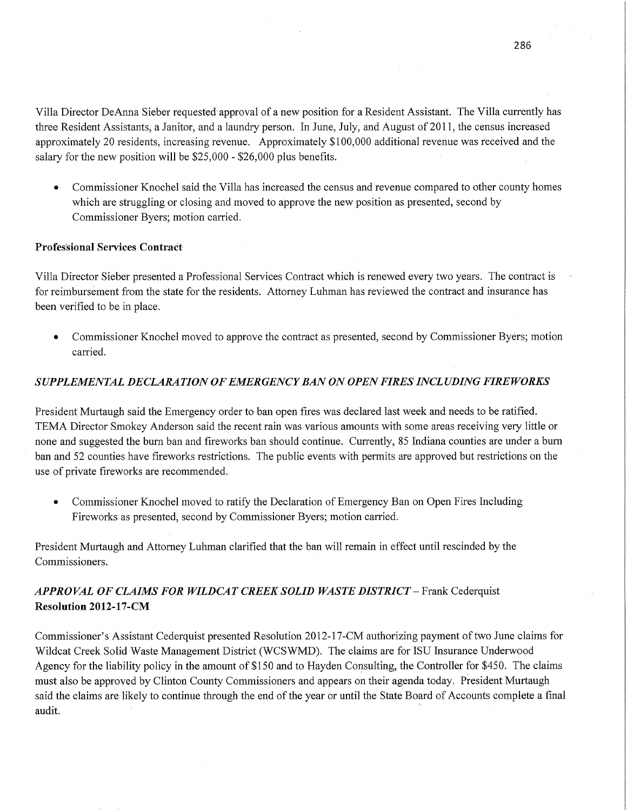Villa Director DeAnna Sieber requested approval of **a** new position for a Resident Assistant. The Villa currently has three Resident Assistants, a Janitor, and a laundry person. In June, July, and August of 2011, the census increased approximately 20 residents, increasing revenue. Approximately \$100,000 additional revenue was received and the salary for the new position will be \$25,000 *-* \$26,000 plus benefits. *'* 

*0* Commissioner Knochel said the Villa has increased the census and revenue compared to other county homes which are struggling or closing and moved to approve the new position as presented, second by Commissioner Byers; motion carried.

#### **Professional Services Contract**

Villa Director Sieber presented a Professional Services Contract which is renewed every two years. The contract is for reimbursement from the state for the residents. Attorney Luhman has reviewed the contract and insurance has been verified to be in place.

• Commissioner Knochel moved to approve the contract as presented, second by Commissioner Byers; motion carried.

#### *SUPPLEMENTAL DECLARATION* OF *EMERGENCY* BAN 0N *OPEN FIRES INCLUDING FIREWORKS*

President Murtaugh said the Emergency order to ban open fires was declared last week and needs to be ratified. TEMA Director Smokey Anderson said the recent rain was various amounts with some areas receiving very little or none and suggested the burn ban and fireworks ban should continue. Currently, 85 Indiana counties are under a burn ban and 52 counties have fireworks restrictions. The public events with permits are approved but restrictions on the use of private fireworks are recommended.

• Commissioner Knochel moved to ratify the Declaration of Emergency Ban on Open Fires Including Fireworks as presented, second by Commissioner Byers; motion carried.

President Murtaugh and Attorney Luhman clarified that the ban will remain in effect until rescinded by the Commissioners.

# *APPROVAL* OF *CLAIMS* FOR *WILDCAT CREEK SOLID WASTE DISTRICT —* Frank Cederquist Resolution **2012-17-CM**

Commissioner's Assistant Cederquist presented Resolution 2012-17—CM authorizing payment of two June claims for Wildcat Creek Solid Waste Management District (WCSWMD). The claims are for ISU Insurance Underwood Agency for the liability policy in the amount of \$150 and to Hayden Consulting, the Controller for \$450. The claims must also be approved by Clinton County Commissioners and appears on their agenda today. President Murtaugh said the claims are likely to continue through the end of the year or until the State Board of Accounts complete a final audit. ' ' '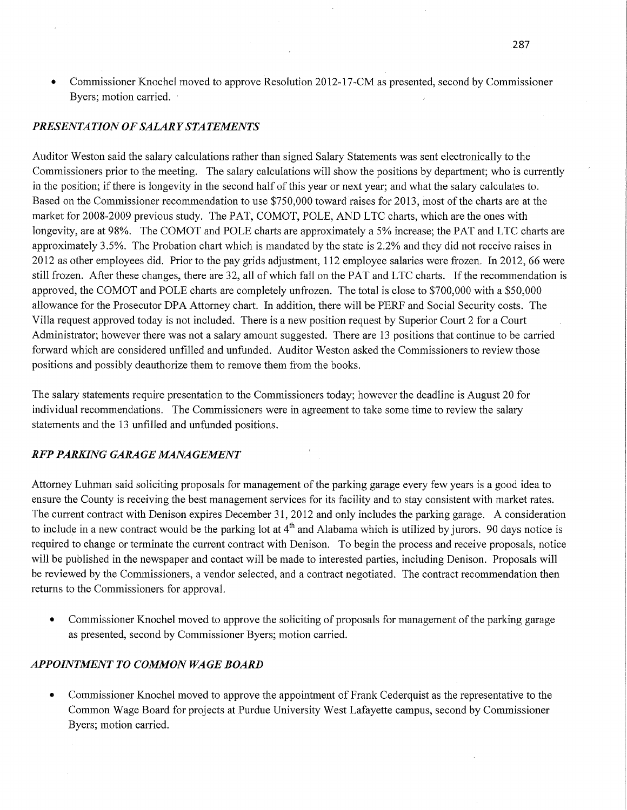• Commissioner Knochel moved to approve Resolution 2012-17-CM as presented, second by Commissioner Byers; motion carried. '

## *PRESENTATION* OF *SALARY STATEMENT S*

Auditor Weston said the salary calculations rather than signed Salary Statements was sent electronically to the Commissioners prior to the meeting. The salary calculations will show the positions by department; who is currently in the position; if there is longevity in the second half of this year or next year; and what the salary calculates to. Based on the Commissioner recommendation to use \$750,000 toward raises for 2013, most of the charts are at the market for 2008-2009 previous study. The **PAT,** COMOT, POLE, AND LTC charts, which are the ones with longevity, are at 98%. The COMOT and POLE charts are approximately **a** 5% increase; the PAT and LTC charts are approximately 3.5%. The Probation **chart** which is mandated by the state is 2.2% and they did not receive raises in 2012 as other employees did. Prior to the pay grids adjustment, 112 employee salaries were frozen. In 2012, 66 were still frozen. After these changes, there are 32, all of which fall on the PAT and LTC charts. If the recommendation is approved, the COMOT and POLE charts are completely unfrozen. The total is close to \$700,000 with a \$50,000 allowance for the Prosecutor DPA Attorney chart. In addition, there will be PERF and Social Security *costs.* The Villa request approved today is not included. There is <sup>a</sup>new position reques<sup>t</sup>by Superior Court 2 for a Court Administrator; however there was not a salary amount suggested. There are 13 positions that continue to be carried forward which are considered unfilled and unfunded. Auditor Weston asked the Commissioners to review those positions and possibly deauthorize them to remove them from the books.

The salary statements require presentation to the Commissioners today; however the deadline is August 20 for individual recommendations. The Commissioners were in agreement to take some time to review the salary statements and the 13 unfilled and unfunded positions.

## RFP *PARKING GARAGE MANAGEMENT*

Attorney Luhman said soliciting proposals for management of the parking garage every few years is <sup>a</sup>good idea to ensure the County is receiving the best management services for its facility and to stay consistent with market rates. The current contract with Denison expires December 31, 2012 and only includes the parking garage. A consideration to include in a new contract would be the parking lot at  $4<sup>th</sup>$  and Alabama which is utilized by jurors. 90 days notice is required to change or terminate the current contract with Denison. To begin the process and receive proposals, notice will be published in the newspaper and contact will be made to interested parties, including Denison. Proposals will be reviewed by the Commissioners, a vendor selected, and a contract negotiated. The contract recommendation then returns to the Commissioners for approval.

**0** Commissioner Knochel moved to approve the soliciting of proposals for management of the parking garage as presented, second by Commissioner Byers; motion carried.

# *APPOINTMENT* T0 *COMMON* WA GE *BOARD*

**0** Commissioner Knochel moved to approve the appointment of Frank Cederquist as the representative to the Commdn Wage Board for projects at Purdue University West Lafayette campus, second by Commissioner Byers; motion carried.